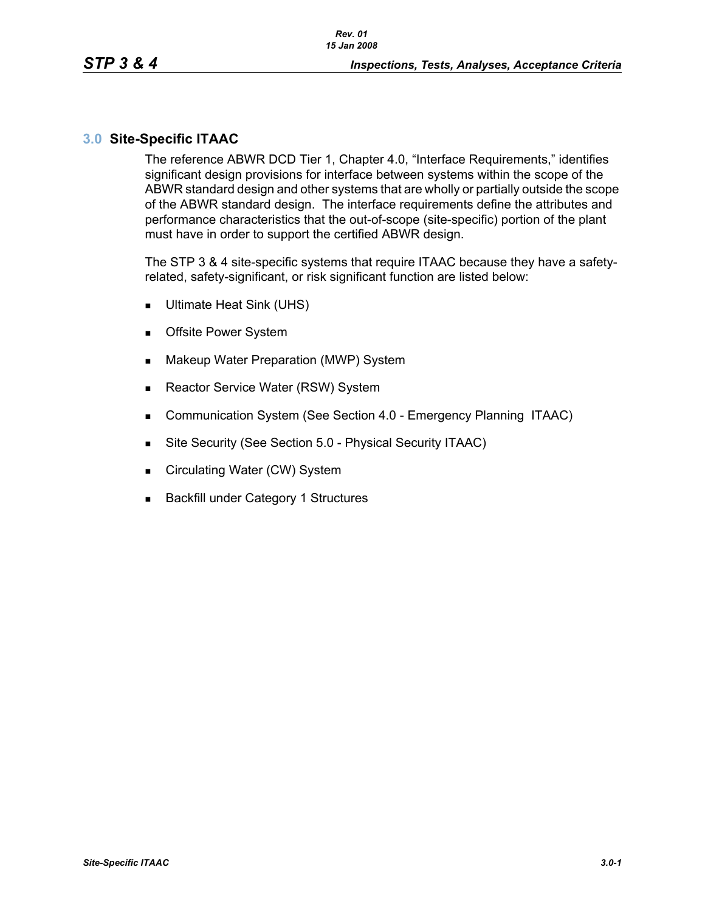# **3.0 Site-Specific ITAAC**

The reference ABWR DCD Tier 1, Chapter 4.0, "Interface Requirements," identifies significant design provisions for interface between systems within the scope of the ABWR standard design and other systems that are wholly or partially outside the scope of the ABWR standard design. The interface requirements define the attributes and performance characteristics that the out-of-scope (site-specific) portion of the plant must have in order to support the certified ABWR design.

The STP 3 & 4 site-specific systems that require ITAAC because they have a safetyrelated, safety-significant, or risk significant function are listed below:

- Ultimate Heat Sink (UHS)
- **Deta** Offsite Power System
- **Makeup Water Preparation (MWP) System**
- Reactor Service Water (RSW) System
- **Communication System (See Section 4.0 Emergency Planning ITAAC)**
- Site Security (See Section 5.0 Physical Security ITAAC)
- Circulating Water (CW) System
- **Backfill under Category 1 Structures**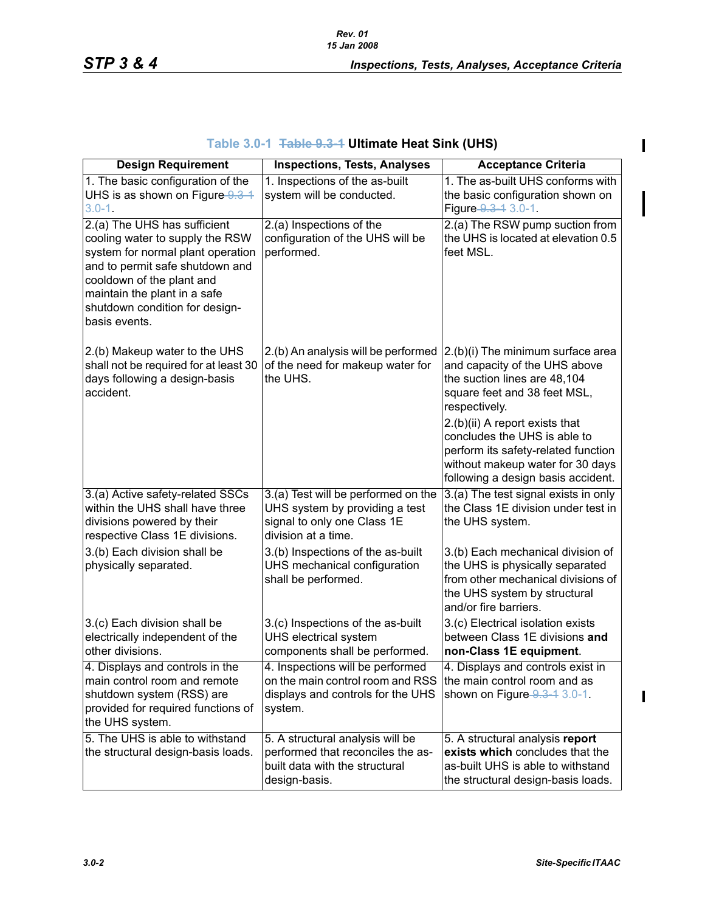$\mathbf{I}$ 

 $\blacksquare$ 

| Table 3.0-1 <del>Table 9.3-1</del> Ultimate Heat Sink (UHS) |  |
|-------------------------------------------------------------|--|
|-------------------------------------------------------------|--|

| <b>Design Requirement</b>                                    | <b>Inspections, Tests, Analyses</b>                                   | <b>Acceptance Criteria</b>                                            |
|--------------------------------------------------------------|-----------------------------------------------------------------------|-----------------------------------------------------------------------|
| 1. The basic configuration of the                            | 1. Inspections of the as-built                                        | 1. The as-built UHS conforms with                                     |
| UHS is as shown on Figure 9.3-1                              | system will be conducted.                                             | the basic configuration shown on                                      |
| $3.0 - 1.$                                                   |                                                                       | Figure 9.3-4 3.0-1.                                                   |
| 2.(a) The UHS has sufficient                                 | 2.(a) Inspections of the                                              | 2.(a) The RSW pump suction from                                       |
| cooling water to supply the RSW                              | configuration of the UHS will be                                      | the UHS is located at elevation 0.5                                   |
| system for normal plant operation                            | performed.                                                            | feet MSL.                                                             |
| and to permit safe shutdown and<br>cooldown of the plant and |                                                                       |                                                                       |
| maintain the plant in a safe                                 |                                                                       |                                                                       |
| shutdown condition for design-                               |                                                                       |                                                                       |
| basis events.                                                |                                                                       |                                                                       |
|                                                              |                                                                       |                                                                       |
| 2.(b) Makeup water to the UHS                                | 2.(b) An analysis will be performed                                   | 2.(b)(i) The minimum surface area                                     |
| shall not be required for at least 30                        | of the need for makeup water for                                      | and capacity of the UHS above                                         |
| days following a design-basis                                | the UHS.                                                              | the suction lines are 48,104                                          |
| accident.                                                    |                                                                       | square feet and 38 feet MSL,<br>respectively.                         |
|                                                              |                                                                       | 2.(b)(ii) A report exists that                                        |
|                                                              |                                                                       | concludes the UHS is able to                                          |
|                                                              |                                                                       | perform its safety-related function                                   |
|                                                              |                                                                       | without makeup water for 30 days                                      |
|                                                              |                                                                       | following a design basis accident.                                    |
| 3.(a) Active safety-related SSCs                             | 3.(a) Test will be performed on the                                   | 3.(a) The test signal exists in only                                  |
| within the UHS shall have three                              | UHS system by providing a test                                        | the Class 1E division under test in                                   |
| divisions powered by their                                   | signal to only one Class 1E                                           | the UHS system.                                                       |
| respective Class 1E divisions.                               | division at a time.                                                   |                                                                       |
| 3.(b) Each division shall be                                 | 3.(b) Inspections of the as-built                                     | 3.(b) Each mechanical division of                                     |
| physically separated.                                        | UHS mechanical configuration<br>shall be performed.                   | the UHS is physically separated<br>from other mechanical divisions of |
|                                                              |                                                                       | the UHS system by structural                                          |
|                                                              |                                                                       | and/or fire barriers.                                                 |
| 3.(c) Each division shall be                                 | 3.(c) Inspections of the as-built                                     | 3.(c) Electrical isolation exists                                     |
| electrically independent of the                              | UHS electrical system                                                 | between Class 1E divisions and                                        |
| other divisions.                                             | components shall be performed.                                        | non-Class 1E equipment.                                               |
| 4. Displays and controls in the                              | 4. Inspections will be performed                                      | 4. Displays and controls exist in                                     |
| main control room and remote                                 | on the main control room and RSS                                      | the main control room and as                                          |
| shutdown system (RSS) are                                    | displays and controls for the UHS                                     | shown on Figure 9.3 - 1 3.0-1.                                        |
| provided for required functions of                           | system.                                                               |                                                                       |
| the UHS system.<br>5. The UHS is able to withstand           |                                                                       |                                                                       |
| the structural design-basis loads.                           | 5. A structural analysis will be<br>performed that reconciles the as- | 5. A structural analysis report<br>exists which concludes that the    |
|                                                              | built data with the structural                                        | as-built UHS is able to withstand                                     |
|                                                              | design-basis.                                                         | the structural design-basis loads.                                    |

 $\mathbf{I}$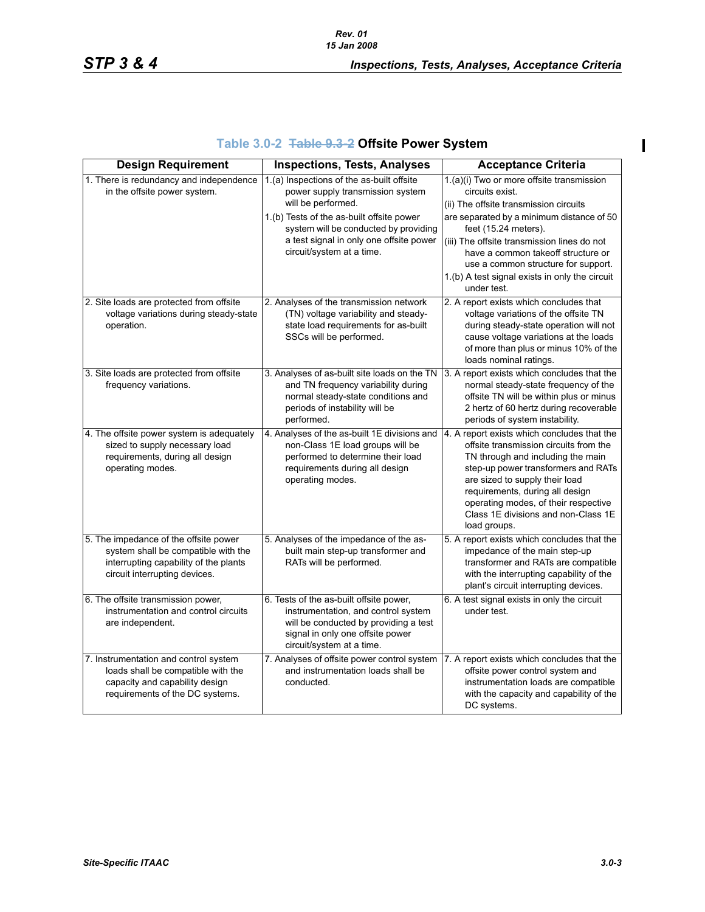|  | Table 3.0-2 Table 9.3-2 Offsite Power System |  |  |  |
|--|----------------------------------------------|--|--|--|
|--|----------------------------------------------|--|--|--|

| <b>Design Requirement</b>                                                                                                                              | <b>Inspections, Tests, Analyses</b>                                                                                                                                                                                                                               | <b>Acceptance Criteria</b>                                                                                                                                                                                                                                                                                                            |
|--------------------------------------------------------------------------------------------------------------------------------------------------------|-------------------------------------------------------------------------------------------------------------------------------------------------------------------------------------------------------------------------------------------------------------------|---------------------------------------------------------------------------------------------------------------------------------------------------------------------------------------------------------------------------------------------------------------------------------------------------------------------------------------|
| 1. There is redundancy and independence<br>in the offsite power system.                                                                                | 1.(a) Inspections of the as-built offsite<br>power supply transmission system<br>will be performed.<br>1.(b) Tests of the as-built offsite power<br>system will be conducted by providing<br>a test signal in only one offsite power<br>circuit/system at a time. | 1.(a)(i) Two or more offsite transmission<br>circuits exist.<br>(ii) The offsite transmission circuits<br>are separated by a minimum distance of 50<br>feet (15.24 meters).<br>(iii) The offsite transmission lines do not<br>have a common takeoff structure or<br>use a common structure for support.                               |
| 2. Site loads are protected from offsite                                                                                                               | 2. Analyses of the transmission network                                                                                                                                                                                                                           | 1.(b) A test signal exists in only the circuit<br>under test.<br>2. A report exists which concludes that                                                                                                                                                                                                                              |
| voltage variations during steady-state<br>operation.                                                                                                   | (TN) voltage variability and steady-<br>state load requirements for as-built<br>SSCs will be performed.                                                                                                                                                           | voltage variations of the offsite TN<br>during steady-state operation will not<br>cause voltage variations at the loads<br>of more than plus or minus 10% of the<br>loads nominal ratings.                                                                                                                                            |
| 3. Site loads are protected from offsite<br>frequency variations.                                                                                      | 3. Analyses of as-built site loads on the TN<br>and TN frequency variability during<br>normal steady-state conditions and<br>periods of instability will be<br>performed.                                                                                         | 3. A report exists which concludes that the<br>normal steady-state frequency of the<br>offsite TN will be within plus or minus<br>2 hertz of 60 hertz during recoverable<br>periods of system instability.                                                                                                                            |
| 4. The offsite power system is adequately<br>sized to supply necessary load<br>requirements, during all design<br>operating modes.                     | 4. Analyses of the as-built 1E divisions and<br>non-Class 1E load groups will be<br>performed to determine their load<br>requirements during all design<br>operating modes.                                                                                       | 4. A report exists which concludes that the<br>offsite transmission circuits from the<br>TN through and including the main<br>step-up power transformers and RATs<br>are sized to supply their load<br>requirements, during all design<br>operating modes, of their respective<br>Class 1E divisions and non-Class 1E<br>load groups. |
| 5. The impedance of the offsite power<br>system shall be compatible with the<br>interrupting capability of the plants<br>circuit interrupting devices. | 5. Analyses of the impedance of the as-<br>built main step-up transformer and<br>RATs will be performed.                                                                                                                                                          | 5. A report exists which concludes that the<br>impedance of the main step-up<br>transformer and RATs are compatible<br>with the interrupting capability of the<br>plant's circuit interrupting devices.                                                                                                                               |
| 6. The offsite transmission power,<br>instrumentation and control circuits<br>are independent.                                                         | 6. Tests of the as-built offsite power,<br>instrumentation, and control system<br>will be conducted by providing a test<br>signal in only one offsite power<br>circuit/system at a time.                                                                          | 6. A test signal exists in only the circuit<br>under test.                                                                                                                                                                                                                                                                            |
| 7. Instrumentation and control system<br>loads shall be compatible with the<br>capacity and capability design<br>requirements of the DC systems.       | 7. Analyses of offsite power control system<br>and instrumentation loads shall be<br>conducted.                                                                                                                                                                   | 7. A report exists which concludes that the<br>offsite power control system and<br>instrumentation loads are compatible<br>with the capacity and capability of the<br>DC systems.                                                                                                                                                     |

 $\mathbf{I}$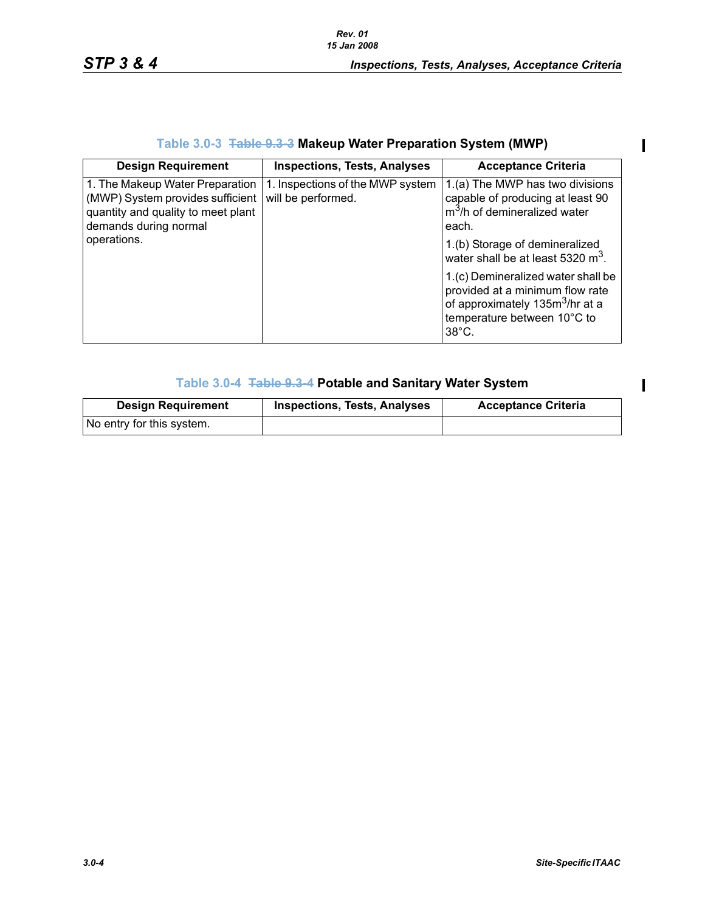$\overline{\phantom{a}}$ 

 $\mathbf{I}$ 

# **Table 3.0-3 Table 9.3-3 Makeup Water Preparation System (MWP)**

| <b>Design Requirement</b>                                                                                                          | <b>Inspections, Tests, Analyses</b>                    | <b>Acceptance Criteria</b>                                                                                                                                             |
|------------------------------------------------------------------------------------------------------------------------------------|--------------------------------------------------------|------------------------------------------------------------------------------------------------------------------------------------------------------------------------|
| 1. The Makeup Water Preparation<br>(MWP) System provides sufficient<br>quantity and quality to meet plant<br>demands during normal | 1. Inspections of the MWP system<br>will be performed. | 1.(a) The MWP has two divisions<br>capable of producing at least 90<br>m <sup>3</sup> /h of demineralized water<br>each.                                               |
| operations.                                                                                                                        |                                                        | 1.(b) Storage of demineralized<br>water shall be at least 5320 $m3$ .                                                                                                  |
|                                                                                                                                    |                                                        | 1.(c) Demineralized water shall be<br>provided at a minimum flow rate<br>of approximately 135m <sup>3</sup> /hr at a<br>temperature between 10°C to<br>$38^{\circ}$ C. |

# **Table 3.0-4 Table 9.3-4 Potable and Sanitary Water System**

| <b>Design Requirement</b> | <b>Inspections, Tests, Analyses</b> | <b>Acceptance Criteria</b> |
|---------------------------|-------------------------------------|----------------------------|
| No entry for this system. |                                     |                            |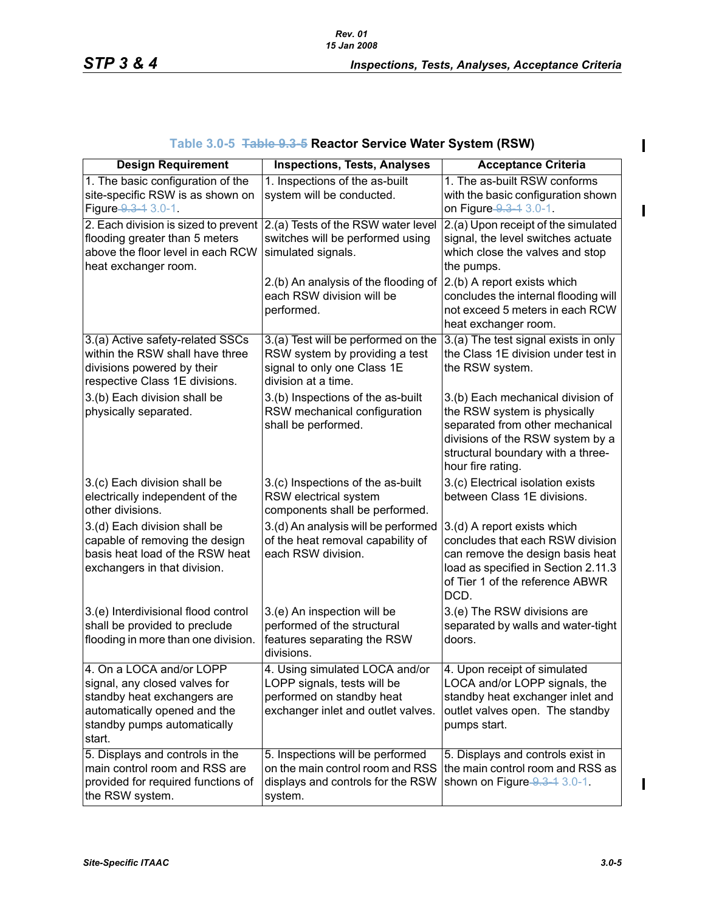| <b>Design Requirement</b>                                                                                                                                         | <b>Inspections, Tests, Analyses</b>                                                                                              | <b>Acceptance Criteria</b>                                                                                                                                                                         |
|-------------------------------------------------------------------------------------------------------------------------------------------------------------------|----------------------------------------------------------------------------------------------------------------------------------|----------------------------------------------------------------------------------------------------------------------------------------------------------------------------------------------------|
| 1. The basic configuration of the<br>site-specific RSW is as shown on<br>Figure 9.3-1 3.0-1.                                                                      | 1. Inspections of the as-built<br>system will be conducted.                                                                      | 1. The as-built RSW conforms<br>with the basic configuration shown<br>on Figure 9.3-1 3.0-1.                                                                                                       |
| 2. Each division is sized to prevent<br>flooding greater than 5 meters<br>above the floor level in each RCW<br>heat exchanger room.                               | 2.(a) Tests of the RSW water level<br>switches will be performed using<br>simulated signals.                                     | 2.(a) Upon receipt of the simulated<br>signal, the level switches actuate<br>which close the valves and stop<br>the pumps.                                                                         |
|                                                                                                                                                                   | 2.(b) An analysis of the flooding of<br>each RSW division will be<br>performed.                                                  | 2.(b) A report exists which<br>concludes the internal flooding will<br>not exceed 5 meters in each RCW<br>heat exchanger room.                                                                     |
| 3.(a) Active safety-related SSCs<br>within the RSW shall have three<br>divisions powered by their<br>respective Class 1E divisions.                               | 3.(a) Test will be performed on the<br>RSW system by providing a test<br>signal to only one Class 1E<br>division at a time.      | 3.(a) The test signal exists in only<br>the Class 1E division under test in<br>the RSW system.                                                                                                     |
| 3.(b) Each division shall be<br>physically separated.                                                                                                             | 3.(b) Inspections of the as-built<br>RSW mechanical configuration<br>shall be performed.                                         | 3.(b) Each mechanical division of<br>the RSW system is physically<br>separated from other mechanical<br>divisions of the RSW system by a<br>structural boundary with a three-<br>hour fire rating. |
| 3.(c) Each division shall be<br>electrically independent of the<br>other divisions.                                                                               | 3.(c) Inspections of the as-built<br>RSW electrical system<br>components shall be performed.                                     | 3.(c) Electrical isolation exists<br>between Class 1E divisions.                                                                                                                                   |
| 3.(d) Each division shall be<br>capable of removing the design<br>basis heat load of the RSW heat<br>exchangers in that division.                                 | 3.(d) An analysis will be performed<br>of the heat removal capability of<br>each RSW division.                                   | 3.(d) A report exists which<br>concludes that each RSW division<br>can remove the design basis heat<br>load as specified in Section 2.11.3<br>of Tier 1 of the reference ABWR<br>DCD.              |
| 3.(e) Interdivisional flood control<br>shall be provided to preclude<br>flooding in more than one division.                                                       | 3.(e) An inspection will be<br>performed of the structural<br>features separating the RSW<br>divisions.                          | 3.(e) The RSW divisions are<br>separated by walls and water-tight<br>doors.                                                                                                                        |
| 4. On a LOCA and/or LOPP<br>signal, any closed valves for<br>standby heat exchangers are<br>automatically opened and the<br>standby pumps automatically<br>start. | 4. Using simulated LOCA and/or<br>LOPP signals, tests will be<br>performed on standby heat<br>exchanger inlet and outlet valves. | 4. Upon receipt of simulated<br>LOCA and/or LOPP signals, the<br>standby heat exchanger inlet and<br>outlet valves open. The standby<br>pumps start.                                               |
| 5. Displays and controls in the<br>main control room and RSS are<br>provided for required functions of<br>the RSW system.                                         | 5. Inspections will be performed<br>on the main control room and RSS<br>displays and controls for the RSW<br>system.             | 5. Displays and controls exist in<br>the main control room and RSS as<br>shown on Figure 9.3-4 3.0-1.                                                                                              |

 $\mathbf I$ 

 $\mathbf I$ 

 $\mathbf{I}$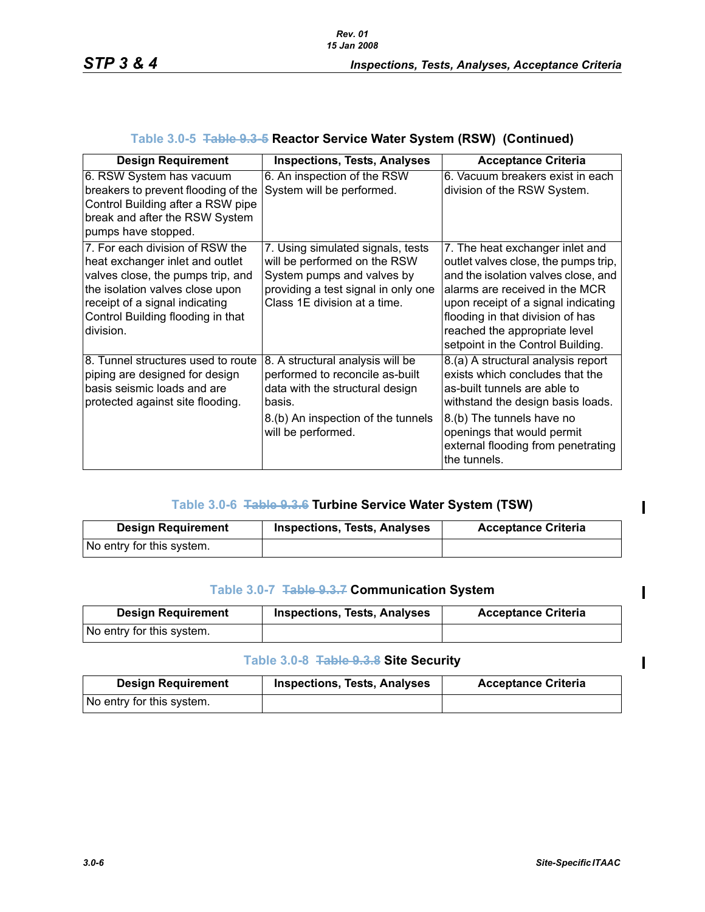| <b>Design Requirement</b>                                                                                                                                                                                                      | <b>Inspections, Tests, Analyses</b>                                                                                                                                          | <b>Acceptance Criteria</b>                                                                                                                                                                                                                                                                        |
|--------------------------------------------------------------------------------------------------------------------------------------------------------------------------------------------------------------------------------|------------------------------------------------------------------------------------------------------------------------------------------------------------------------------|---------------------------------------------------------------------------------------------------------------------------------------------------------------------------------------------------------------------------------------------------------------------------------------------------|
| 6. RSW System has vacuum<br>breakers to prevent flooding of the<br>Control Building after a RSW pipe<br>break and after the RSW System<br>pumps have stopped.                                                                  | 6. An inspection of the RSW<br>System will be performed.                                                                                                                     | 6. Vacuum breakers exist in each<br>division of the RSW System.                                                                                                                                                                                                                                   |
| 7. For each division of RSW the<br>heat exchanger inlet and outlet<br>valves close, the pumps trip, and<br>the isolation valves close upon<br>receipt of a signal indicating<br>Control Building flooding in that<br>division. | 7. Using simulated signals, tests<br>will be performed on the RSW<br>System pumps and valves by<br>providing a test signal in only one<br>Class 1E division at a time.       | 7. The heat exchanger inlet and<br>outlet valves close, the pumps trip,<br>and the isolation valves close, and<br>alarms are received in the MCR<br>upon receipt of a signal indicating<br>flooding in that division of has<br>reached the appropriate level<br>setpoint in the Control Building. |
| 8. Tunnel structures used to route<br>piping are designed for design<br>basis seismic loads and are<br>protected against site flooding.                                                                                        | 8. A structural analysis will be<br>performed to reconcile as-built<br>data with the structural design<br>basis.<br>8.(b) An inspection of the tunnels<br>will be performed. | 8.(a) A structural analysis report<br>exists which concludes that the<br>as-built tunnels are able to<br>withstand the design basis loads.<br>8.(b) The tunnels have no<br>openings that would permit<br>external flooding from penetrating<br>the tunnels.                                       |

# **Table 3.0-5 Table 9.3-5 Reactor Service Water System (RSW) (Continued)**

## **Table 3.0-6 Table 9.3.6 Turbine Service Water System (TSW)**

| <b>Design Requirement</b> | <b>Inspections, Tests, Analyses</b> | <b>Acceptance Criteria</b> |
|---------------------------|-------------------------------------|----------------------------|
| No entry for this system. |                                     |                            |

## **Table 3.0-7 Table 9.3.7 Communication System**

| <b>Design Requirement</b> | <b>Inspections, Tests, Analyses</b> | <b>Acceptance Criteria</b> |
|---------------------------|-------------------------------------|----------------------------|
| No entry for this system. |                                     |                            |

### **Table 3.0-8 Table 9.3.8 Site Security**

| <b>Design Requirement</b> | <b>Inspections, Tests, Analyses</b> | <b>Acceptance Criteria</b> |
|---------------------------|-------------------------------------|----------------------------|
| No entry for this system. |                                     |                            |

 $\blacksquare$ 

 $\blacksquare$ 

 $\mathbf I$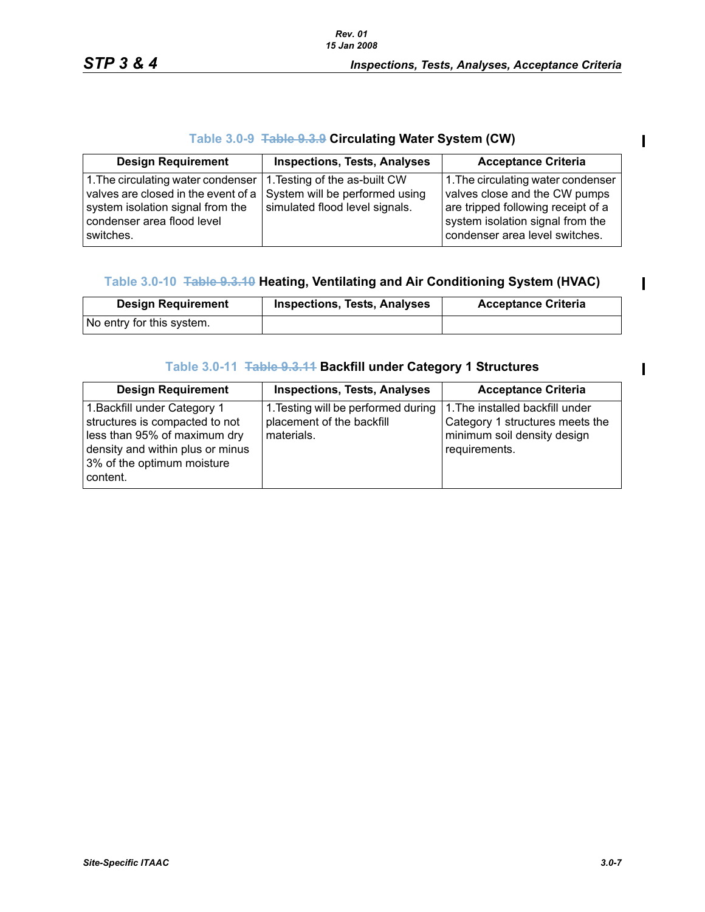# **Table 3.0-9 Table 9.3.9 Circulating Water System (CW)**

| <b>Design Requirement</b>                                                                                                                                                                | <b>Inspections, Tests, Analyses</b>                              | <b>Acceptance Criteria</b>                                                                                                                                                      |
|------------------------------------------------------------------------------------------------------------------------------------------------------------------------------------------|------------------------------------------------------------------|---------------------------------------------------------------------------------------------------------------------------------------------------------------------------------|
| 1. The circulating water condenser   1. Testing of the as-built CW<br>valves are closed in the event of a<br>system isolation signal from the<br>condenser area flood level<br>switches. | System will be performed using<br>simulated flood level signals. | 1. The circulating water condenser<br>valves close and the CW pumps<br>are tripped following receipt of a<br>system isolation signal from the<br>condenser area level switches. |

# **Table 3.0-10 Table 9.3.10 Heating, Ventilating and Air Conditioning System (HVAC)**

| <b>Design Requirement</b> | <b>Inspections, Tests, Analyses</b> | <b>Acceptance Criteria</b> |
|---------------------------|-------------------------------------|----------------------------|
| No entry for this system. |                                     |                            |

## **Table 3.0-11 Table 9.3.11 Backfill under Category 1 Structures**

| <b>Design Requirement</b>                                                                                                                                                    | <b>Inspections, Tests, Analyses</b>                                            | <b>Acceptance Criteria</b>                                                                                         |
|------------------------------------------------------------------------------------------------------------------------------------------------------------------------------|--------------------------------------------------------------------------------|--------------------------------------------------------------------------------------------------------------------|
| 1. Backfill under Category 1<br>structures is compacted to not<br>less than 95% of maximum dry<br>density and within plus or minus<br>3% of the optimum moisture<br>content. | 1. Testing will be performed during<br>placement of the backfill<br>materials. | 1. The installed backfill under<br>Category 1 structures meets the<br>minimum soil density design<br>requirements. |

 $\mathbf{I}$ 

 $\mathbf I$ 

 $\blacksquare$